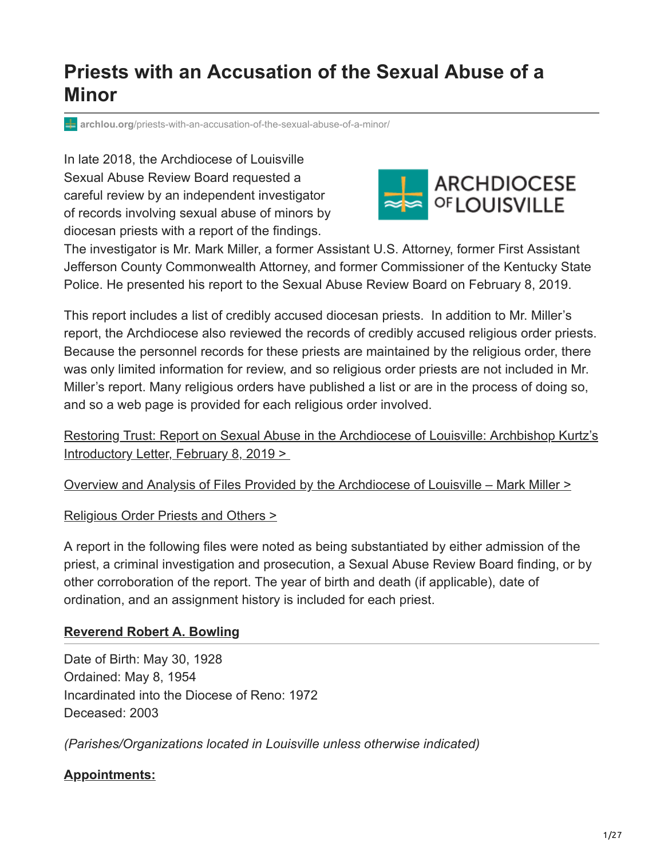# **Priests with an Accusation of the Sexual Abuse of a Minor**

**archlou.org**[/priests-with-an-accusation-of-the-sexual-abuse-of-a-minor/](https://www.archlou.org/priests-with-an-accusation-of-the-sexual-abuse-of-a-minor/)

In late 2018, the Archdiocese of Louisville Sexual Abuse Review Board requested a careful review by an independent investigator of records involving sexual abuse of minors by diocesan priests with a report of the findings.



The investigator is Mr. Mark Miller, a former Assistant U.S. Attorney, former First Assistant Jefferson County Commonwealth Attorney, and former Commissioner of the Kentucky State Police. He presented his report to the Sexual Abuse Review Board on February 8, 2019.

This report includes a list of credibly accused diocesan priests. In addition to Mr. Miller's report, the Archdiocese also reviewed the records of credibly accused religious order priests. Because the personnel records for these priests are maintained by the religious order, there was only limited information for review, and so religious order priests are not included in Mr. Miller's report. Many religious orders have published a list or are in the process of doing so, and so a web page is provided for each religious order involved.

[Restoring Trust: Report on Sexual Abuse in the Archdiocese of Louisville: Archbishop Kurtz's](https://www.archlou.org/report-sexual-abuse/) Introductory Letter, February 8, 2019 >

[Overview and Analysis of Files Provided by the Archdiocese of Louisville – Mark Miller >](https://www.archlou.org/wp-content/uploads/2019/02/Files-Analysis-from-Atty-Mark-Miller-with-links-2.doc.pdf)

[Religious Order Priests and Others >](https://www.archlou.org/wp-content/uploads/2019/02/ReligiousOrdersOthers-003.pdf)

A report in the following files were noted as being substantiated by either admission of the priest, a criminal investigation and prosecution, a Sexual Abuse Review Board finding, or by other corroboration of the report. The year of birth and death (if applicable), date of ordination, and an assignment history is included for each priest.

## **[Reverend Robert A. Bowling](#page-0-0)**

<span id="page-0-0"></span>Date of Birth: May 30, 1928 Ordained: May 8, 1954 Incardinated into the Diocese of Reno: 1972 Deceased: 2003

*(Parishes/Organizations located in Louisville unless otherwise indicated)*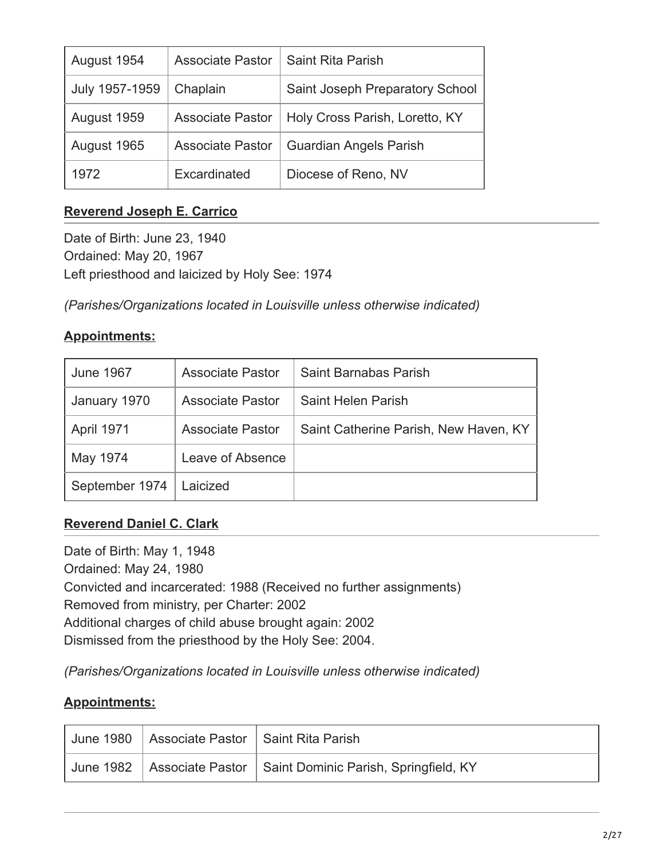| August 1954    | <b>Associate Pastor</b> | Saint Rita Parish               |
|----------------|-------------------------|---------------------------------|
| July 1957-1959 | Chaplain                | Saint Joseph Preparatory School |
| August 1959    | <b>Associate Pastor</b> | Holy Cross Parish, Loretto, KY  |
| August 1965    | <b>Associate Pastor</b> | <b>Guardian Angels Parish</b>   |
| 1972           | Excardinated            | Diocese of Reno, NV             |

## **[Reverend Joseph E. Carrico](#page-1-0)**

<span id="page-1-0"></span>Date of Birth: June 23, 1940 Ordained: May 20, 1967 Left priesthood and laicized by Holy See: 1974

*(Parishes/Organizations located in Louisville unless otherwise indicated)*

| <b>Appointments:</b> |  |
|----------------------|--|
|                      |  |

| <b>June 1967</b>  | <b>Associate Pastor</b> | Saint Barnabas Parish                 |
|-------------------|-------------------------|---------------------------------------|
| January 1970      | <b>Associate Pastor</b> | Saint Helen Parish                    |
| <b>April 1971</b> | <b>Associate Pastor</b> | Saint Catherine Parish, New Haven, KY |
| May 1974          | Leave of Absence        |                                       |
| September 1974    | Laicized                |                                       |

## **[Reverend Daniel C. Clark](#page-1-1)**

<span id="page-1-1"></span>Date of Birth: May 1, 1948 Ordained: May 24, 1980 Convicted and incarcerated: 1988 (Received no further assignments) Removed from ministry, per Charter: 2002 Additional charges of child abuse brought again: 2002 Dismissed from the priesthood by the Holy See: 2004.

*(Parishes/Organizations located in Louisville unless otherwise indicated)*

| June 1980 Associate Pastor   Saint Rita Parish |                                                                    |
|------------------------------------------------|--------------------------------------------------------------------|
|                                                | June 1982 Associate Pastor   Saint Dominic Parish, Springfield, KY |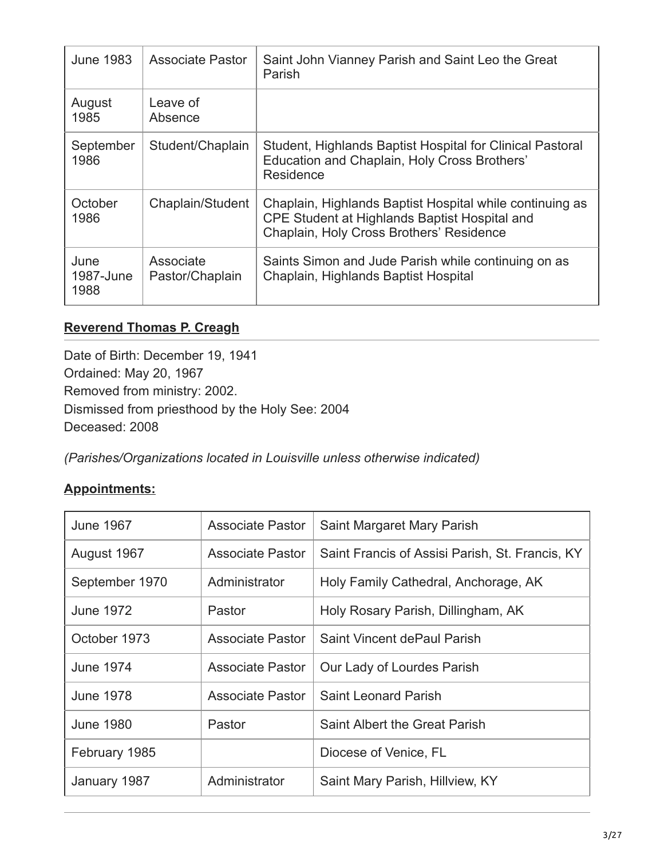| <b>June 1983</b>          | <b>Associate Pastor</b>      | Saint John Vianney Parish and Saint Leo the Great<br>Parish                                                                                           |
|---------------------------|------------------------------|-------------------------------------------------------------------------------------------------------------------------------------------------------|
| August<br>1985            | Leave of<br>Absence          |                                                                                                                                                       |
| September<br>1986         | Student/Chaplain             | Student, Highlands Baptist Hospital for Clinical Pastoral<br>Education and Chaplain, Holy Cross Brothers'<br>Residence                                |
| October<br>1986           | Chaplain/Student             | Chaplain, Highlands Baptist Hospital while continuing as<br>CPE Student at Highlands Baptist Hospital and<br>Chaplain, Holy Cross Brothers' Residence |
| June<br>1987-June<br>1988 | Associate<br>Pastor/Chaplain | Saints Simon and Jude Parish while continuing on as<br>Chaplain, Highlands Baptist Hospital                                                           |

## **[Reverend Thomas P. Creagh](#page-2-0)**

<span id="page-2-0"></span>Date of Birth: December 19, 1941 Ordained: May 20, 1967 Removed from ministry: 2002. Dismissed from priesthood by the Holy See: 2004 Deceased: 2008

*(Parishes/Organizations located in Louisville unless otherwise indicated)*

| <b>June 1967</b> | Associate Pastor        | Saint Margaret Mary Parish                      |
|------------------|-------------------------|-------------------------------------------------|
| August 1967      | <b>Associate Pastor</b> | Saint Francis of Assisi Parish, St. Francis, KY |
| September 1970   | Administrator           | Holy Family Cathedral, Anchorage, AK            |
| <b>June 1972</b> | Pastor                  | Holy Rosary Parish, Dillingham, AK              |
| October 1973     | <b>Associate Pastor</b> | Saint Vincent dePaul Parish                     |
| <b>June 1974</b> | Associate Pastor        | Our Lady of Lourdes Parish                      |
| <b>June 1978</b> | <b>Associate Pastor</b> | <b>Saint Leonard Parish</b>                     |
| <b>June 1980</b> | Pastor                  | Saint Albert the Great Parish                   |
| February 1985    |                         | Diocese of Venice, FL                           |
| January 1987     | Administrator           | Saint Mary Parish, Hillview, KY                 |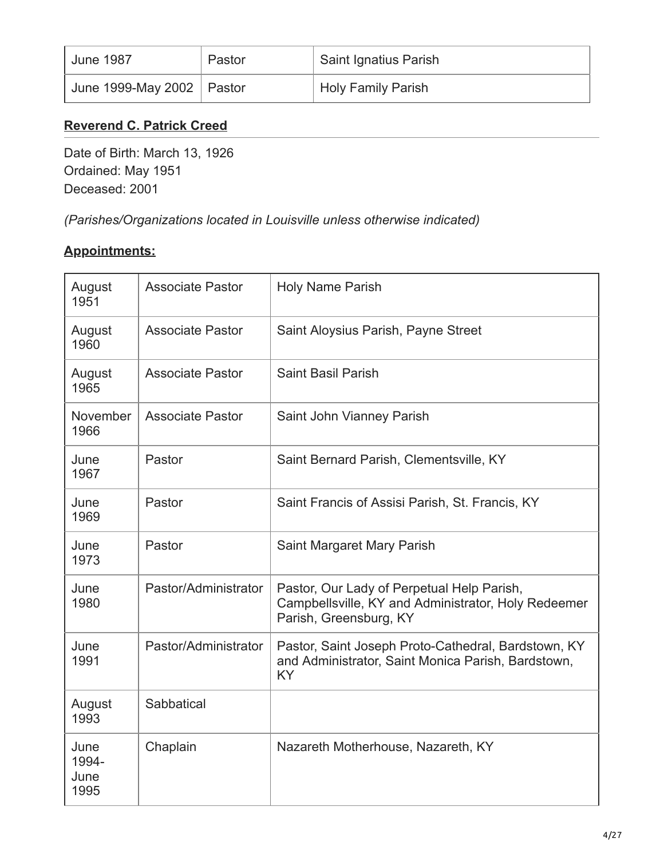| June 1987                   | Pastor | <sup>'</sup> Saint Ignatius Parish |
|-----------------------------|--------|------------------------------------|
| June 1999-May 2002   Pastor |        | <b>Holy Family Parish</b>          |

## **[Reverend C. Patrick Creed](#page-3-0)**

<span id="page-3-0"></span>Date of Birth: March 13, 1926 Ordained: May 1951 Deceased: 2001

*(Parishes/Organizations located in Louisville unless otherwise indicated)*

| August<br>1951                | <b>Associate Pastor</b> | Holy Name Parish                                                                                                            |
|-------------------------------|-------------------------|-----------------------------------------------------------------------------------------------------------------------------|
| August<br>1960                | <b>Associate Pastor</b> | Saint Aloysius Parish, Payne Street                                                                                         |
| August<br>1965                | <b>Associate Pastor</b> | <b>Saint Basil Parish</b>                                                                                                   |
| November<br>1966              | <b>Associate Pastor</b> | Saint John Vianney Parish                                                                                                   |
| June<br>1967                  | Pastor                  | Saint Bernard Parish, Clementsville, KY                                                                                     |
| June<br>1969                  | Pastor                  | Saint Francis of Assisi Parish, St. Francis, KY                                                                             |
| June<br>1973                  | Pastor                  | Saint Margaret Mary Parish                                                                                                  |
| June<br>1980                  | Pastor/Administrator    | Pastor, Our Lady of Perpetual Help Parish,<br>Campbellsville, KY and Administrator, Holy Redeemer<br>Parish, Greensburg, KY |
| June<br>1991                  | Pastor/Administrator    | Pastor, Saint Joseph Proto-Cathedral, Bardstown, KY<br>and Administrator, Saint Monica Parish, Bardstown,<br>KY             |
| August<br>1993                | Sabbatical              |                                                                                                                             |
| June<br>1994-<br>June<br>1995 | Chaplain                | Nazareth Motherhouse, Nazareth, KY                                                                                          |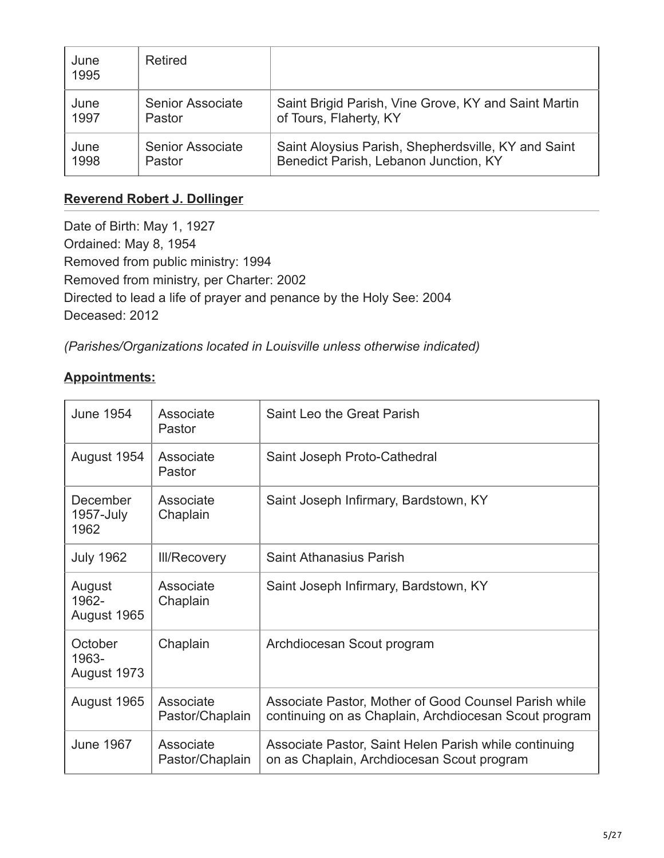| June<br>1995 | Retired                 |                                                      |
|--------------|-------------------------|------------------------------------------------------|
| June         | <b>Senior Associate</b> | Saint Brigid Parish, Vine Grove, KY and Saint Martin |
| 1997         | Pastor                  | of Tours, Flaherty, KY                               |
| June         | <b>Senior Associate</b> | Saint Aloysius Parish, Shepherdsville, KY and Saint  |
| 1998         | Pastor                  | Benedict Parish, Lebanon Junction, KY                |

## **[Reverend Robert J. Dollinger](#page-4-0)**

<span id="page-4-0"></span>Date of Birth: May 1, 1927 Ordained: May 8, 1954 Removed from public ministry: 1994 Removed from ministry, per Charter: 2002 Directed to lead a life of prayer and penance by the Holy See: 2004 Deceased: 2012

*(Parishes/Organizations located in Louisville unless otherwise indicated)*

| <b>June 1954</b>                | Associate<br>Pastor          | Saint Leo the Great Parish                                                                                     |
|---------------------------------|------------------------------|----------------------------------------------------------------------------------------------------------------|
| August 1954                     | Associate<br>Pastor          | Saint Joseph Proto-Cathedral                                                                                   |
| December<br>1957-July<br>1962   | Associate<br>Chaplain        | Saint Joseph Infirmary, Bardstown, KY                                                                          |
| <b>July 1962</b>                | <b>III/Recovery</b>          | <b>Saint Athanasius Parish</b>                                                                                 |
| August<br>1962-<br>August 1965  | Associate<br>Chaplain        | Saint Joseph Infirmary, Bardstown, KY                                                                          |
| October<br>1963-<br>August 1973 | Chaplain                     | Archdiocesan Scout program                                                                                     |
| August 1965                     | Associate<br>Pastor/Chaplain | Associate Pastor, Mother of Good Counsel Parish while<br>continuing on as Chaplain, Archdiocesan Scout program |
| <b>June 1967</b>                | Associate<br>Pastor/Chaplain | Associate Pastor, Saint Helen Parish while continuing<br>on as Chaplain, Archdiocesan Scout program            |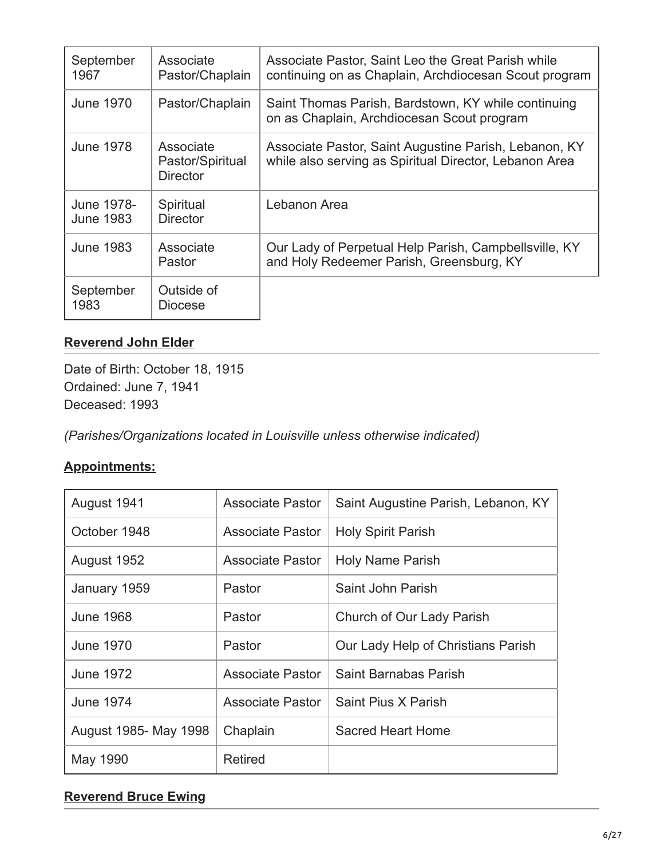| September<br>1967              | Associate<br>Pastor/Chaplain                     | Associate Pastor, Saint Leo the Great Parish while<br>continuing on as Chaplain, Archdiocesan Scout program     |
|--------------------------------|--------------------------------------------------|-----------------------------------------------------------------------------------------------------------------|
| <b>June 1970</b>               | Pastor/Chaplain                                  | Saint Thomas Parish, Bardstown, KY while continuing<br>on as Chaplain, Archdiocesan Scout program               |
| <b>June 1978</b>               | Associate<br>Pastor/Spiritual<br><b>Director</b> | Associate Pastor, Saint Augustine Parish, Lebanon, KY<br>while also serving as Spiritual Director, Lebanon Area |
| June 1978-<br><b>June 1983</b> | Spiritual<br><b>Director</b>                     | Lebanon Area                                                                                                    |
| <b>June 1983</b>               | Associate<br>Pastor                              | Our Lady of Perpetual Help Parish, Campbellsville, KY<br>and Holy Redeemer Parish, Greensburg, KY               |
| September<br>1983              | Outside of<br><b>Diocese</b>                     |                                                                                                                 |

## **[Reverend John Elder](#page-5-0)**

<span id="page-5-0"></span>Date of Birth: October 18, 1915 Ordained: June 7, 1941 Deceased: 1993

*(Parishes/Organizations located in Louisville unless otherwise indicated)*

# **Appointments:**

| August 1941           | Associate Pastor        | Saint Augustine Parish, Lebanon, KY |
|-----------------------|-------------------------|-------------------------------------|
| October 1948          | <b>Associate Pastor</b> | <b>Holy Spirit Parish</b>           |
| August 1952           | <b>Associate Pastor</b> | <b>Holy Name Parish</b>             |
| January 1959          | Pastor                  | Saint John Parish                   |
| <b>June 1968</b>      | Pastor                  | Church of Our Lady Parish           |
| <b>June 1970</b>      | Pastor                  | Our Lady Help of Christians Parish  |
| <b>June 1972</b>      | <b>Associate Pastor</b> | Saint Barnabas Parish               |
| <b>June 1974</b>      | <b>Associate Pastor</b> | Saint Pius X Parish                 |
| August 1985- May 1998 | Chaplain                | Sacred Heart Home                   |
| May 1990              | <b>Retired</b>          |                                     |

## **[Reverend Bruce Ewing](#page-6-0)**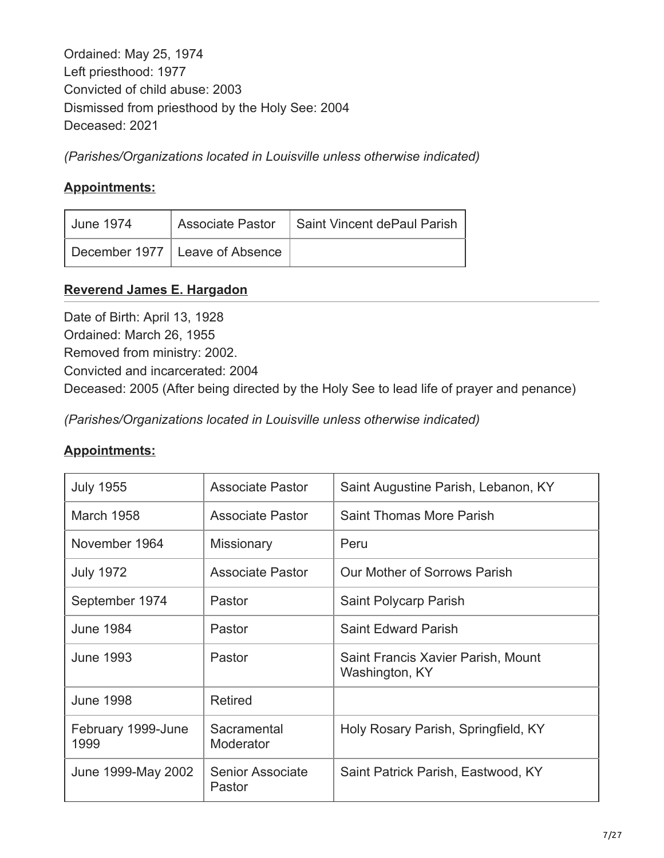<span id="page-6-0"></span>Ordained: May 25, 1974 Left priesthood: 1977 Convicted of child abuse: 2003 Dismissed from priesthood by the Holy See: 2004 Deceased: 2021

*(Parishes/Organizations located in Louisville unless otherwise indicated)*

## **Appointments:**

| June 1974 |                                  | Associate Pastor   Saint Vincent dePaul Parish |
|-----------|----------------------------------|------------------------------------------------|
|           | December 1977   Leave of Absence |                                                |

## **[Reverend James E. Hargadon](#page-6-1)**

<span id="page-6-1"></span>Date of Birth: April 13, 1928 Ordained: March 26, 1955 Removed from ministry: 2002. Convicted and incarcerated: 2004 Deceased: 2005 (After being directed by the Holy See to lead life of prayer and penance)

*(Parishes/Organizations located in Louisville unless otherwise indicated)*

| <b>July 1955</b>           | <b>Associate Pastor</b>    | Saint Augustine Parish, Lebanon, KY                  |
|----------------------------|----------------------------|------------------------------------------------------|
| March 1958                 | <b>Associate Pastor</b>    | Saint Thomas More Parish                             |
| November 1964              | Missionary                 | Peru                                                 |
| <b>July 1972</b>           | <b>Associate Pastor</b>    | Our Mother of Sorrows Parish                         |
| September 1974             | Pastor                     | Saint Polycarp Parish                                |
| <b>June 1984</b>           | Pastor                     | <b>Saint Edward Parish</b>                           |
| June 1993                  | Pastor                     | Saint Francis Xavier Parish, Mount<br>Washington, KY |
| <b>June 1998</b>           | <b>Retired</b>             |                                                      |
| February 1999-June<br>1999 | Sacramental<br>Moderator   | Holy Rosary Parish, Springfield, KY                  |
| June 1999-May 2002         | Senior Associate<br>Pastor | Saint Patrick Parish, Eastwood, KY                   |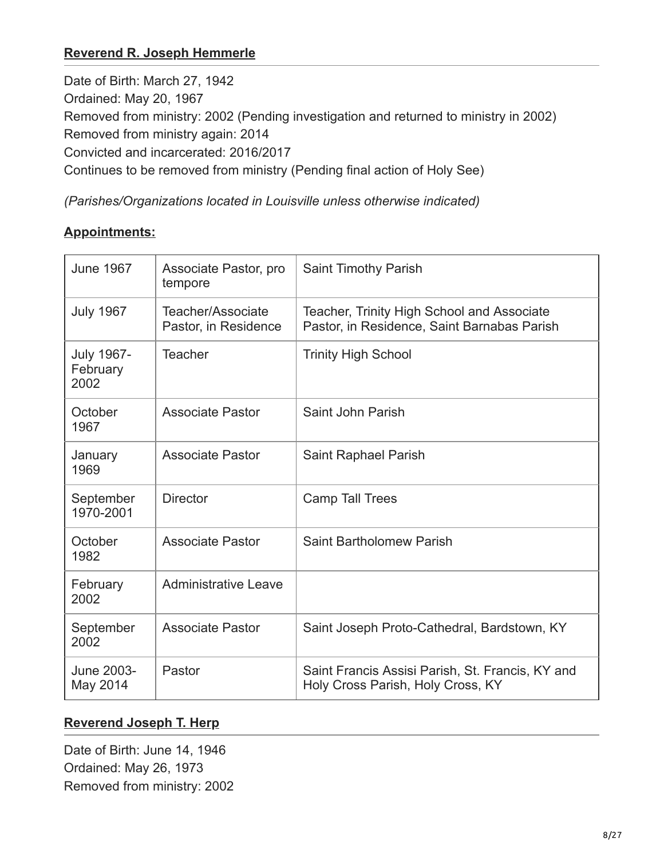## **[Reverend R. Joseph Hemmerle](#page-7-0)**

<span id="page-7-0"></span>Date of Birth: March 27, 1942 Ordained: May 20, 1967 Removed from ministry: 2002 (Pending investigation and returned to ministry in 2002) Removed from ministry again: 2014 Convicted and incarcerated: 2016/2017 Continues to be removed from ministry (Pending final action of Holy See)

*(Parishes/Organizations located in Louisville unless otherwise indicated)*

#### **Appointments:**

| <b>June 1967</b>                      | Associate Pastor, pro<br>tempore          | <b>Saint Timothy Parish</b>                                                               |
|---------------------------------------|-------------------------------------------|-------------------------------------------------------------------------------------------|
| <b>July 1967</b>                      | Teacher/Associate<br>Pastor, in Residence | Teacher, Trinity High School and Associate<br>Pastor, in Residence, Saint Barnabas Parish |
| <b>July 1967-</b><br>February<br>2002 | <b>Teacher</b>                            | <b>Trinity High School</b>                                                                |
| October<br>1967                       | <b>Associate Pastor</b>                   | Saint John Parish                                                                         |
| January<br>1969                       | <b>Associate Pastor</b>                   | Saint Raphael Parish                                                                      |
| September<br>1970-2001                | <b>Director</b>                           | <b>Camp Tall Trees</b>                                                                    |
| October<br>1982                       | <b>Associate Pastor</b>                   | Saint Bartholomew Parish                                                                  |
| February<br>2002                      | <b>Administrative Leave</b>               |                                                                                           |
| September<br>2002                     | <b>Associate Pastor</b>                   | Saint Joseph Proto-Cathedral, Bardstown, KY                                               |
| June 2003-<br>May 2014                | Pastor                                    | Saint Francis Assisi Parish, St. Francis, KY and<br>Holy Cross Parish, Holy Cross, KY     |

## **[Reverend Joseph T. Herp](#page-7-1)**

<span id="page-7-1"></span>Date of Birth: June 14, 1946 Ordained: May 26, 1973 Removed from ministry: 2002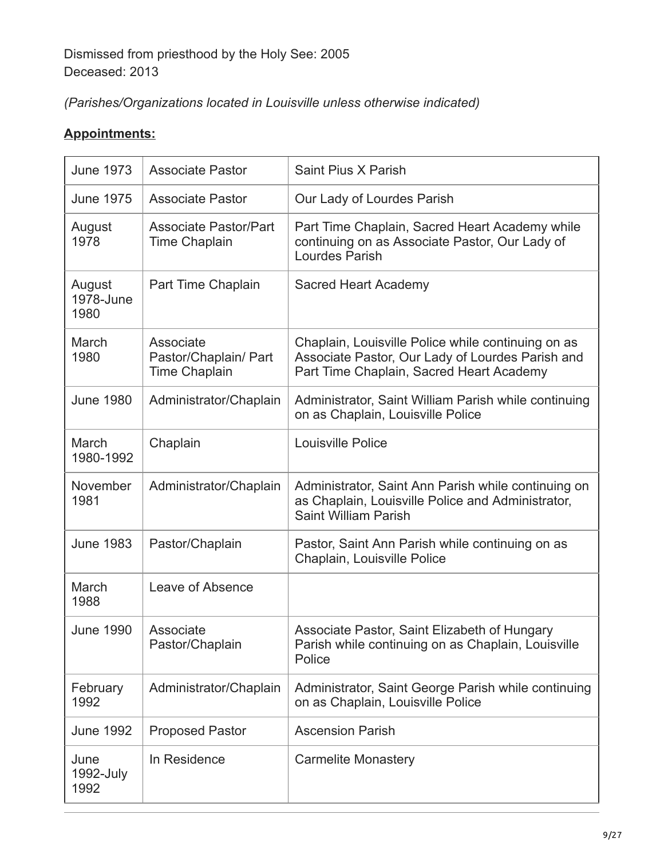# *(Parishes/Organizations located in Louisville unless otherwise indicated)*

| <b>June 1973</b>            | <b>Associate Pastor</b>                                    | Saint Pius X Parish                                                                                                                                |
|-----------------------------|------------------------------------------------------------|----------------------------------------------------------------------------------------------------------------------------------------------------|
| <b>June 1975</b>            | <b>Associate Pastor</b>                                    | Our Lady of Lourdes Parish                                                                                                                         |
| August<br>1978              | <b>Associate Pastor/Part</b><br><b>Time Chaplain</b>       | Part Time Chaplain, Sacred Heart Academy while<br>continuing on as Associate Pastor, Our Lady of<br>Lourdes Parish                                 |
| August<br>1978-June<br>1980 | Part Time Chaplain                                         | <b>Sacred Heart Academy</b>                                                                                                                        |
| March<br>1980               | Associate<br>Pastor/Chaplain/ Part<br><b>Time Chaplain</b> | Chaplain, Louisville Police while continuing on as<br>Associate Pastor, Our Lady of Lourdes Parish and<br>Part Time Chaplain, Sacred Heart Academy |
| <b>June 1980</b>            | Administrator/Chaplain                                     | Administrator, Saint William Parish while continuing<br>on as Chaplain, Louisville Police                                                          |
| March<br>1980-1992          | Chaplain                                                   | Louisville Police                                                                                                                                  |
| November<br>1981            | Administrator/Chaplain                                     | Administrator, Saint Ann Parish while continuing on<br>as Chaplain, Louisville Police and Administrator,<br><b>Saint William Parish</b>            |
| <b>June 1983</b>            | Pastor/Chaplain                                            | Pastor, Saint Ann Parish while continuing on as<br>Chaplain, Louisville Police                                                                     |
| March<br>1988               | Leave of Absence                                           |                                                                                                                                                    |
| <b>June 1990</b>            | Associate<br>Pastor/Chaplain                               | Associate Pastor, Saint Elizabeth of Hungary<br>Parish while continuing on as Chaplain, Louisville<br>Police                                       |
| February<br>1992            | Administrator/Chaplain                                     | Administrator, Saint George Parish while continuing<br>on as Chaplain, Louisville Police                                                           |
| <b>June 1992</b>            | <b>Proposed Pastor</b>                                     | <b>Ascension Parish</b>                                                                                                                            |
| June<br>1992-July<br>1992   | In Residence                                               | <b>Carmelite Monastery</b>                                                                                                                         |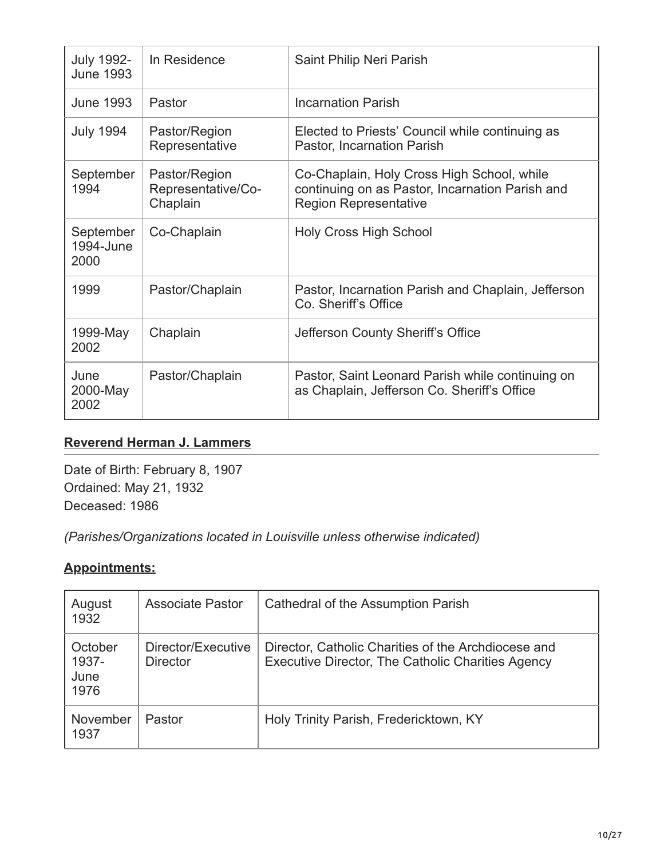| <b>July 1992-</b><br><b>June 1993</b> | In Residence                                    | Saint Philip Neri Parish                                                                                                      |
|---------------------------------------|-------------------------------------------------|-------------------------------------------------------------------------------------------------------------------------------|
| <b>June 1993</b>                      | Pastor                                          | <b>Incarnation Parish</b>                                                                                                     |
| <b>July 1994</b>                      | Pastor/Region<br>Representative                 | Elected to Priests' Council while continuing as<br>Pastor, Incarnation Parish                                                 |
| September<br>1994                     | Pastor/Region<br>Representative/Co-<br>Chaplain | Co-Chaplain, Holy Cross High School, while<br>continuing on as Pastor, Incarnation Parish and<br><b>Region Representative</b> |
| September<br>1994-June<br>2000        | Co-Chaplain                                     | <b>Holy Cross High School</b>                                                                                                 |
| 1999                                  | Pastor/Chaplain                                 | Pastor, Incarnation Parish and Chaplain, Jefferson<br>Co. Sheriff's Office                                                    |
| 1999-May<br>2002                      | Chaplain                                        | Jefferson County Sheriff's Office                                                                                             |
| June<br>2000-May<br>2002              | Pastor/Chaplain                                 | Pastor, Saint Leonard Parish while continuing on<br>as Chaplain, Jefferson Co. Sheriff's Office                               |

## **[Reverend Herman J. Lammers](#page-9-0)**

<span id="page-9-0"></span>Date of Birth: February 8, 1907 Ordained: May 21, 1932 Deceased: 1986

*(Parishes/Organizations located in Louisville unless otherwise indicated)*

| August<br>1932                   | <b>Associate Pastor</b>               | Cathedral of the Assumption Parish                                                                       |
|----------------------------------|---------------------------------------|----------------------------------------------------------------------------------------------------------|
| October<br>1937-<br>June<br>1976 | Director/Executive<br><b>Director</b> | Director, Catholic Charities of the Archdiocese and<br>Executive Director, The Catholic Charities Agency |
| November<br>1937                 | Pastor                                | Holy Trinity Parish, Fredericktown, KY                                                                   |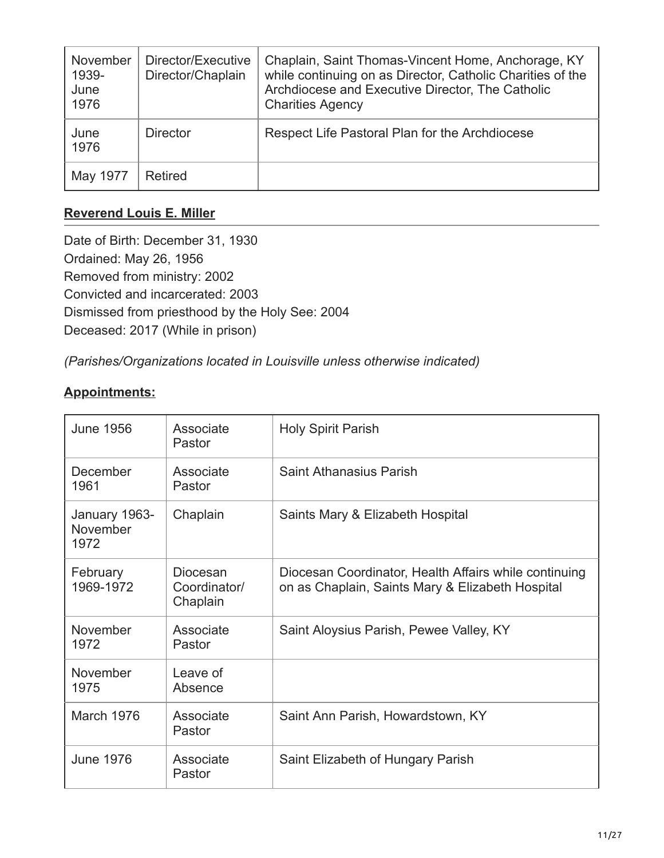| November<br>1939-<br>June<br>1976 | Director/Executive<br>Director/Chaplain | Chaplain, Saint Thomas-Vincent Home, Anchorage, KY<br>while continuing on as Director, Catholic Charities of the<br>Archdiocese and Executive Director, The Catholic<br><b>Charities Agency</b> |
|-----------------------------------|-----------------------------------------|-------------------------------------------------------------------------------------------------------------------------------------------------------------------------------------------------|
| June<br>1976                      | <b>Director</b>                         | Respect Life Pastoral Plan for the Archdiocese                                                                                                                                                  |
| May 1977                          | <b>Retired</b>                          |                                                                                                                                                                                                 |

## **[Reverend Louis E. Miller](#page-10-0)**

<span id="page-10-0"></span>Date of Birth: December 31, 1930 Ordained: May 26, 1956 Removed from ministry: 2002 Convicted and incarcerated: 2003 Dismissed from priesthood by the Holy See: 2004 Deceased: 2017 (While in prison)

*(Parishes/Organizations located in Louisville unless otherwise indicated)*

| <b>June 1956</b>                  | Associate<br>Pastor                  | <b>Holy Spirit Parish</b>                                                                                 |
|-----------------------------------|--------------------------------------|-----------------------------------------------------------------------------------------------------------|
| <b>December</b><br>1961           | Associate<br>Pastor                  | Saint Athanasius Parish                                                                                   |
| January 1963-<br>November<br>1972 | Chaplain                             | Saints Mary & Elizabeth Hospital                                                                          |
| February<br>1969-1972             | Diocesan<br>Coordinator/<br>Chaplain | Diocesan Coordinator, Health Affairs while continuing<br>on as Chaplain, Saints Mary & Elizabeth Hospital |
| November<br>1972                  | Associate<br>Pastor                  | Saint Aloysius Parish, Pewee Valley, KY                                                                   |
| November<br>1975                  | Leave of<br>Absence                  |                                                                                                           |
| March 1976                        | Associate<br>Pastor                  | Saint Ann Parish, Howardstown, KY                                                                         |
| <b>June 1976</b>                  | Associate<br>Pastor                  | Saint Elizabeth of Hungary Parish                                                                         |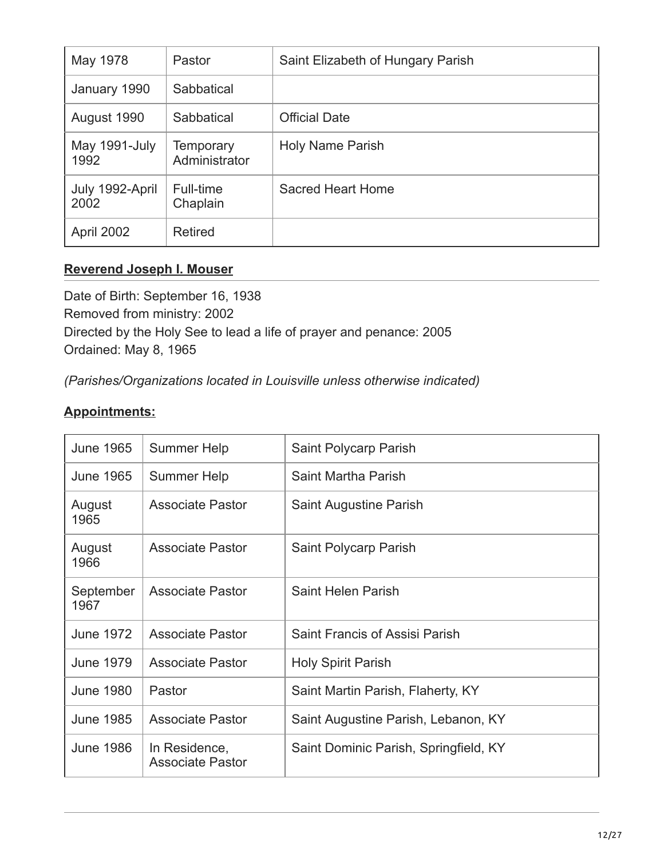| May 1978                | Pastor                            | Saint Elizabeth of Hungary Parish |
|-------------------------|-----------------------------------|-----------------------------------|
| January 1990            | Sabbatical                        |                                   |
| August 1990             | Sabbatical                        | <b>Official Date</b>              |
| May 1991-July<br>1992   | <b>Temporary</b><br>Administrator | Holy Name Parish                  |
| July 1992-April<br>2002 | Full-time<br>Chaplain             | <b>Sacred Heart Home</b>          |
| April 2002              | <b>Retired</b>                    |                                   |

#### **[Reverend Joseph I. Mouser](#page-11-0)**

<span id="page-11-0"></span>Date of Birth: September 16, 1938 Removed from ministry: 2002 Directed by the Holy See to lead a life of prayer and penance: 2005 Ordained: May 8, 1965

*(Parishes/Organizations located in Louisville unless otherwise indicated)*

| <b>June 1965</b>  | Summer Help                              | Saint Polycarp Parish                 |
|-------------------|------------------------------------------|---------------------------------------|
| <b>June 1965</b>  | Summer Help                              | Saint Martha Parish                   |
| August<br>1965    | <b>Associate Pastor</b>                  | Saint Augustine Parish                |
| August<br>1966    | <b>Associate Pastor</b>                  | Saint Polycarp Parish                 |
| September<br>1967 | <b>Associate Pastor</b>                  | Saint Helen Parish                    |
| <b>June 1972</b>  | <b>Associate Pastor</b>                  | Saint Francis of Assisi Parish        |
| <b>June 1979</b>  | <b>Associate Pastor</b>                  | <b>Holy Spirit Parish</b>             |
| <b>June 1980</b>  | Pastor                                   | Saint Martin Parish, Flaherty, KY     |
| <b>June 1985</b>  | <b>Associate Pastor</b>                  | Saint Augustine Parish, Lebanon, KY   |
| <b>June 1986</b>  | In Residence,<br><b>Associate Pastor</b> | Saint Dominic Parish, Springfield, KY |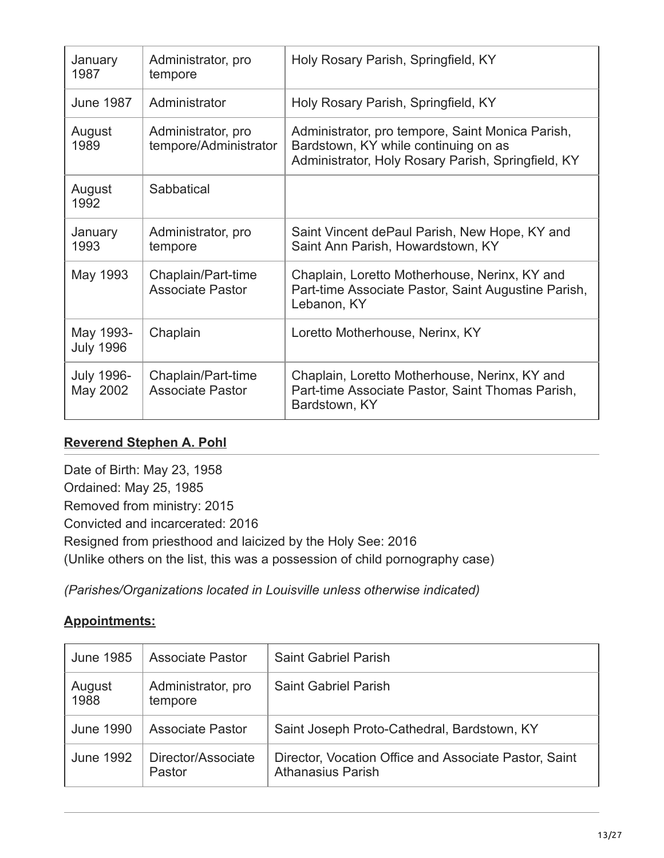| January<br>1987               | Administrator, pro<br>tempore                 | Holy Rosary Parish, Springfield, KY                                                                                                            |
|-------------------------------|-----------------------------------------------|------------------------------------------------------------------------------------------------------------------------------------------------|
| <b>June 1987</b>              | Administrator                                 | Holy Rosary Parish, Springfield, KY                                                                                                            |
| August<br>1989                | Administrator, pro<br>tempore/Administrator   | Administrator, pro tempore, Saint Monica Parish,<br>Bardstown, KY while continuing on as<br>Administrator, Holy Rosary Parish, Springfield, KY |
| August<br>1992                | Sabbatical                                    |                                                                                                                                                |
| January<br>1993               | Administrator, pro<br>tempore                 | Saint Vincent dePaul Parish, New Hope, KY and<br>Saint Ann Parish, Howardstown, KY                                                             |
| May 1993                      | Chaplain/Part-time<br><b>Associate Pastor</b> | Chaplain, Loretto Motherhouse, Nerinx, KY and<br>Part-time Associate Pastor, Saint Augustine Parish,<br>Lebanon, KY                            |
| May 1993-<br><b>July 1996</b> | Chaplain                                      | Loretto Motherhouse, Nerinx, KY                                                                                                                |
| <b>July 1996-</b><br>May 2002 | Chaplain/Part-time<br><b>Associate Pastor</b> | Chaplain, Loretto Motherhouse, Nerinx, KY and<br>Part-time Associate Pastor, Saint Thomas Parish,<br>Bardstown, KY                             |

### **[Reverend Stephen A. Pohl](#page-12-0)**

<span id="page-12-0"></span>Date of Birth: May 23, 1958 Ordained: May 25, 1985 Removed from ministry: 2015 Convicted and incarcerated: 2016 Resigned from priesthood and laicized by the Holy See: 2016 (Unlike others on the list, this was a possession of child pornography case)

*(Parishes/Organizations located in Louisville unless otherwise indicated)*

| <b>June 1985</b> | <b>Associate Pastor</b>       | <b>Saint Gabriel Parish</b>                                                       |
|------------------|-------------------------------|-----------------------------------------------------------------------------------|
| August<br>1988   | Administrator, pro<br>tempore | <b>Saint Gabriel Parish</b>                                                       |
| <b>June 1990</b> | <b>Associate Pastor</b>       | Saint Joseph Proto-Cathedral, Bardstown, KY                                       |
| <b>June 1992</b> | Director/Associate<br>Pastor  | Director, Vocation Office and Associate Pastor, Saint<br><b>Athanasius Parish</b> |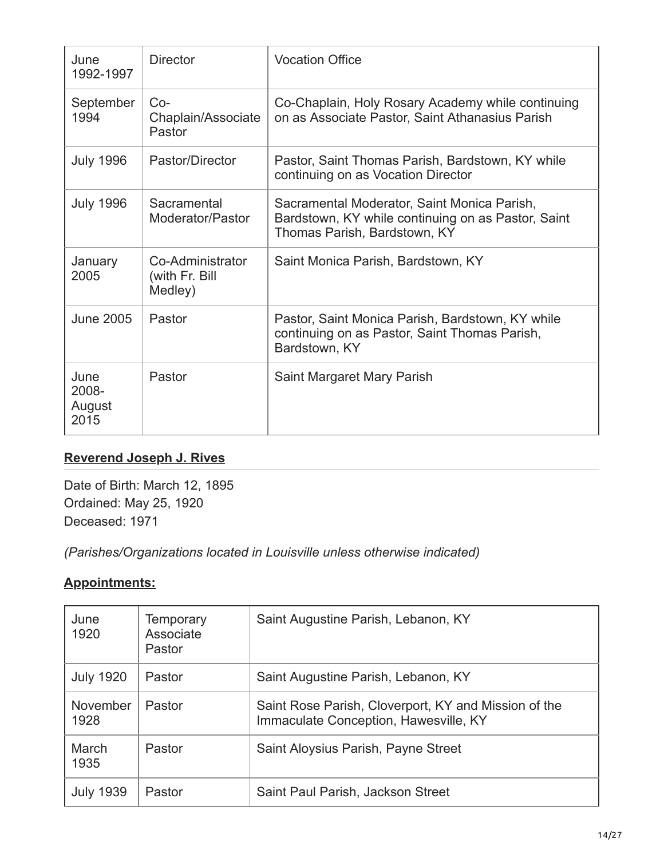| June<br>1992-1997               | <b>Director</b>                               | <b>Vocation Office</b>                                                                                                            |
|---------------------------------|-----------------------------------------------|-----------------------------------------------------------------------------------------------------------------------------------|
| September<br>1994               | $Co-$<br>Chaplain/Associate<br>Pastor         | Co-Chaplain, Holy Rosary Academy while continuing<br>on as Associate Pastor, Saint Athanasius Parish                              |
| <b>July 1996</b>                | Pastor/Director                               | Pastor, Saint Thomas Parish, Bardstown, KY while<br>continuing on as Vocation Director                                            |
| <b>July 1996</b>                | Sacramental<br>Moderator/Pastor               | Sacramental Moderator, Saint Monica Parish,<br>Bardstown, KY while continuing on as Pastor, Saint<br>Thomas Parish, Bardstown, KY |
| January<br>2005                 | Co-Administrator<br>(with Fr. Bill<br>Medley) | Saint Monica Parish, Bardstown, KY                                                                                                |
| <b>June 2005</b>                | Pastor                                        | Pastor, Saint Monica Parish, Bardstown, KY while<br>continuing on as Pastor, Saint Thomas Parish,<br>Bardstown, KY                |
| June<br>2008-<br>August<br>2015 | Pastor                                        | Saint Margaret Mary Parish                                                                                                        |

# **[Reverend Joseph J. Rives](#page-13-0)**

<span id="page-13-0"></span>Date of Birth: March 12, 1895 Ordained: May 25, 1920 Deceased: 1971

*(Parishes/Organizations located in Louisville unless otherwise indicated)*

| June<br>1920     | <b>Temporary</b><br>Associate<br>Pastor | Saint Augustine Parish, Lebanon, KY                                                           |
|------------------|-----------------------------------------|-----------------------------------------------------------------------------------------------|
| <b>July 1920</b> | Pastor                                  | Saint Augustine Parish, Lebanon, KY                                                           |
| November<br>1928 | Pastor                                  | Saint Rose Parish, Cloverport, KY and Mission of the<br>Immaculate Conception, Hawesville, KY |
| March<br>1935    | Pastor                                  | Saint Aloysius Parish, Payne Street                                                           |
| <b>July 1939</b> | Pastor                                  | Saint Paul Parish, Jackson Street                                                             |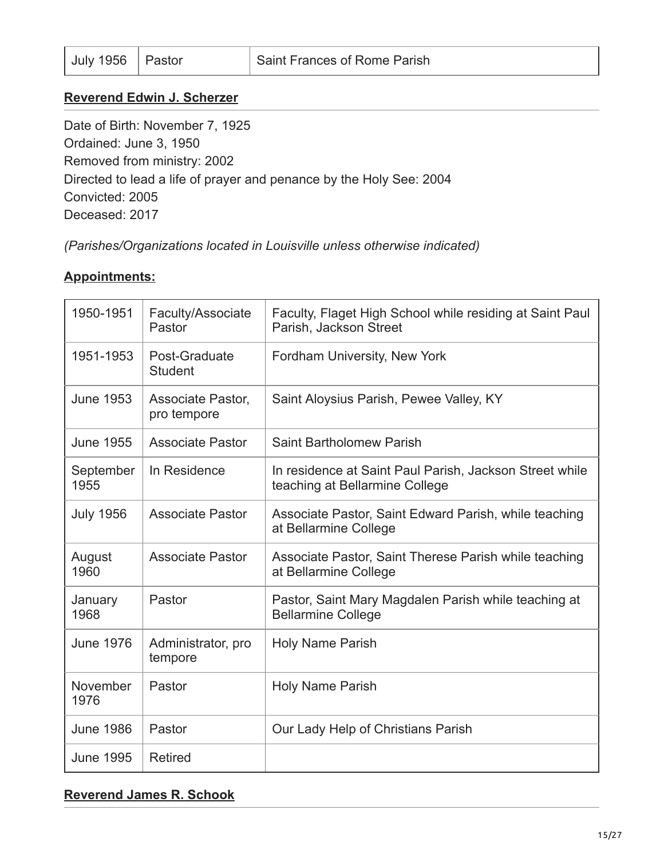#### **[Reverend Edwin J. Scherzer](#page-14-0)**

<span id="page-14-0"></span>Date of Birth: November 7, 1925 Ordained: June 3, 1950 Removed from ministry: 2002 Directed to lead a life of prayer and penance by the Holy See: 2004 Convicted: 2005 Deceased: 2017

*(Parishes/Organizations located in Louisville unless otherwise indicated)*

#### **Appointments:**

| 1950-1951         | Faculty/Associate<br>Pastor      | Faculty, Flaget High School while residing at Saint Paul<br>Parish, Jackson Street        |
|-------------------|----------------------------------|-------------------------------------------------------------------------------------------|
| 1951-1953         | Post-Graduate<br><b>Student</b>  | Fordham University, New York                                                              |
| <b>June 1953</b>  | Associate Pastor,<br>pro tempore | Saint Aloysius Parish, Pewee Valley, KY                                                   |
| <b>June 1955</b>  | <b>Associate Pastor</b>          | <b>Saint Bartholomew Parish</b>                                                           |
| September<br>1955 | In Residence                     | In residence at Saint Paul Parish, Jackson Street while<br>teaching at Bellarmine College |
| <b>July 1956</b>  | <b>Associate Pastor</b>          | Associate Pastor, Saint Edward Parish, while teaching<br>at Bellarmine College            |
| August<br>1960    | <b>Associate Pastor</b>          | Associate Pastor, Saint Therese Parish while teaching<br>at Bellarmine College            |
| January<br>1968   | Pastor                           | Pastor, Saint Mary Magdalen Parish while teaching at<br><b>Bellarmine College</b>         |
| <b>June 1976</b>  | Administrator, pro<br>tempore    | <b>Holy Name Parish</b>                                                                   |
| November<br>1976  | Pastor                           | <b>Holy Name Parish</b>                                                                   |
| <b>June 1986</b>  | Pastor                           | Our Lady Help of Christians Parish                                                        |
| <b>June 1995</b>  | <b>Retired</b>                   |                                                                                           |

#### **[Reverend James R. Schook](#page-15-0)**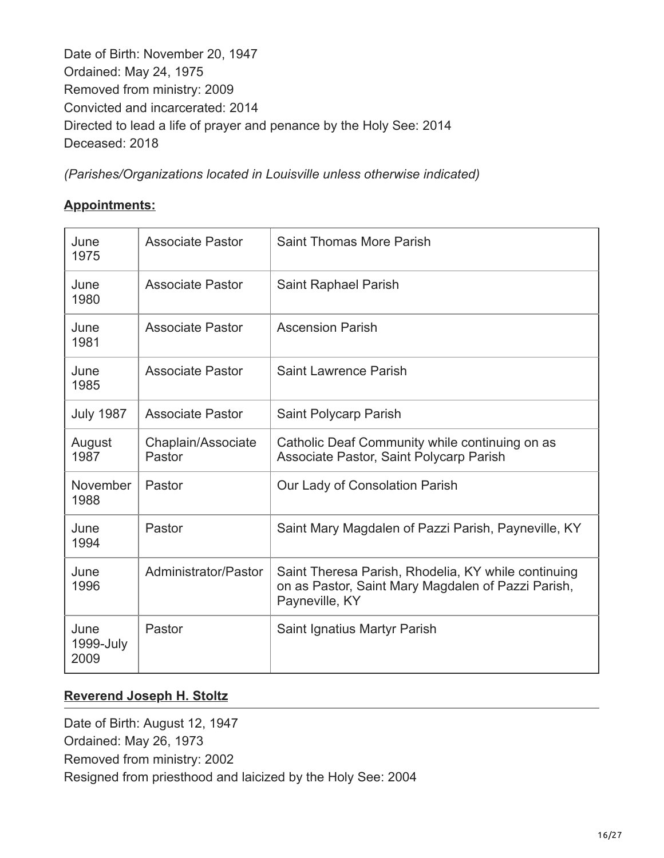<span id="page-15-0"></span>Date of Birth: November 20, 1947 Ordained: May 24, 1975 Removed from ministry: 2009 Convicted and incarcerated: 2014 Directed to lead a life of prayer and penance by the Holy See: 2014 Deceased: 2018

*(Parishes/Organizations located in Louisville unless otherwise indicated)*

## **Appointments:**

| June<br>1975              | <b>Associate Pastor</b>      | Saint Thomas More Parish                                                                                                    |
|---------------------------|------------------------------|-----------------------------------------------------------------------------------------------------------------------------|
| June<br>1980              | <b>Associate Pastor</b>      | Saint Raphael Parish                                                                                                        |
| June<br>1981              | <b>Associate Pastor</b>      | <b>Ascension Parish</b>                                                                                                     |
| June<br>1985              | <b>Associate Pastor</b>      | <b>Saint Lawrence Parish</b>                                                                                                |
| <b>July 1987</b>          | <b>Associate Pastor</b>      | Saint Polycarp Parish                                                                                                       |
| August<br>1987            | Chaplain/Associate<br>Pastor | Catholic Deaf Community while continuing on as<br>Associate Pastor, Saint Polycarp Parish                                   |
| November<br>1988          | Pastor                       | Our Lady of Consolation Parish                                                                                              |
| June<br>1994              | Pastor                       | Saint Mary Magdalen of Pazzi Parish, Payneville, KY                                                                         |
| June<br>1996              | Administrator/Pastor         | Saint Theresa Parish, Rhodelia, KY while continuing<br>on as Pastor, Saint Mary Magdalen of Pazzi Parish,<br>Payneville, KY |
| June<br>1999-July<br>2009 | Pastor                       | Saint Ignatius Martyr Parish                                                                                                |

#### **[Reverend Joseph H. Stoltz](#page-15-1)**

<span id="page-15-1"></span>Date of Birth: August 12, 1947 Ordained: May 26, 1973 Removed from ministry: 2002 Resigned from priesthood and laicized by the Holy See: 2004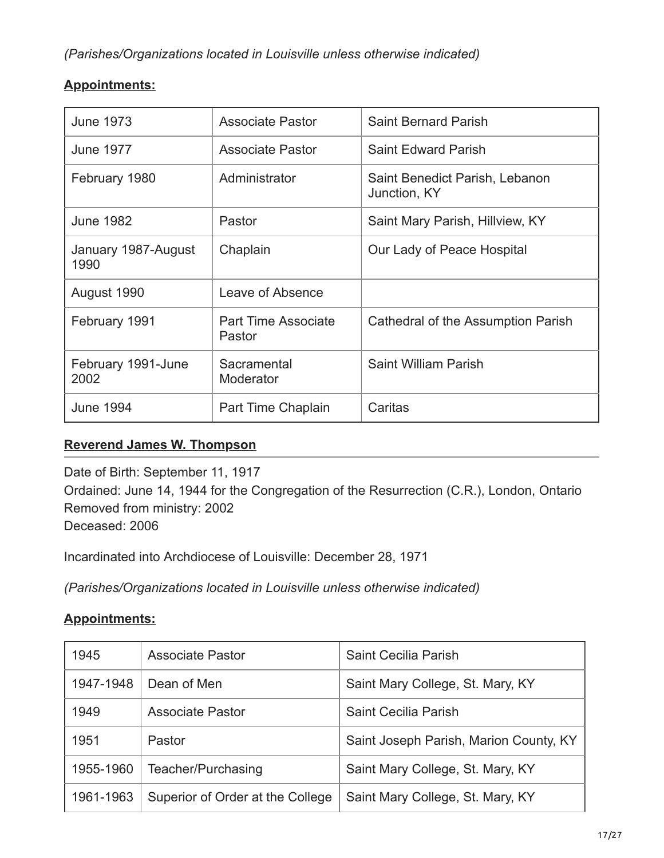## **Appointments:**

| <b>June 1973</b>            | <b>Associate Pastor</b>              | <b>Saint Bernard Parish</b>                    |
|-----------------------------|--------------------------------------|------------------------------------------------|
| <b>June 1977</b>            | Associate Pastor                     | <b>Saint Edward Parish</b>                     |
| February 1980               | Administrator                        | Saint Benedict Parish, Lebanon<br>Junction, KY |
| <b>June 1982</b>            | Pastor                               | Saint Mary Parish, Hillview, KY                |
| January 1987-August<br>1990 | Chaplain                             | Our Lady of Peace Hospital                     |
| August 1990                 | Leave of Absence                     |                                                |
| February 1991               | <b>Part Time Associate</b><br>Pastor | Cathedral of the Assumption Parish             |
| February 1991-June<br>2002  | Sacramental<br>Moderator             | <b>Saint William Parish</b>                    |
| <b>June 1994</b>            | Part Time Chaplain                   | Caritas                                        |

# **[Reverend James W. Thompson](#page-16-0)**

<span id="page-16-0"></span>Date of Birth: September 11, 1917 Ordained: June 14, 1944 for the Congregation of the Resurrection (C.R.), London, Ontario Removed from ministry: 2002 Deceased: 2006

Incardinated into Archdiocese of Louisville: December 28, 1971

*(Parishes/Organizations located in Louisville unless otherwise indicated)*

| 1945      | <b>Associate Pastor</b>          | Saint Cecilia Parish                   |
|-----------|----------------------------------|----------------------------------------|
| 1947-1948 | Dean of Men                      | Saint Mary College, St. Mary, KY       |
| 1949      | <b>Associate Pastor</b>          | Saint Cecilia Parish                   |
| 1951      | Pastor                           | Saint Joseph Parish, Marion County, KY |
| 1955-1960 | Teacher/Purchasing               | Saint Mary College, St. Mary, KY       |
| 1961-1963 | Superior of Order at the College | Saint Mary College, St. Mary, KY       |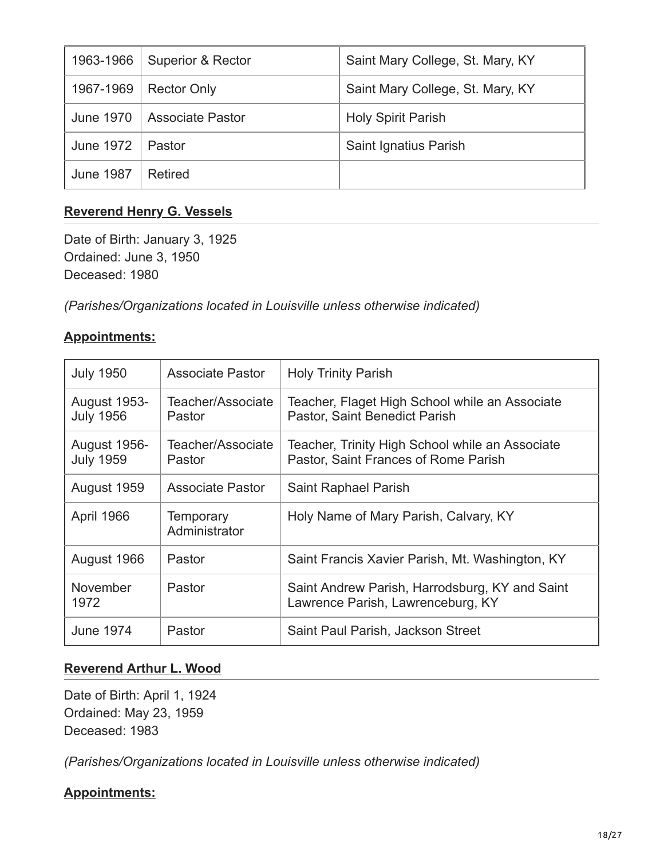| 1963-1966        | Superior & Rector       | Saint Mary College, St. Mary, KY |
|------------------|-------------------------|----------------------------------|
| 1967-1969        | <b>Rector Only</b>      | Saint Mary College, St. Mary, KY |
| June 1970        | <b>Associate Pastor</b> | <b>Holy Spirit Parish</b>        |
| <b>June 1972</b> | Pastor                  | Saint Ignatius Parish            |
| <b>June 1987</b> | Retired                 |                                  |

## **[Reverend Henry G. Vessels](#page-17-0)**

<span id="page-17-0"></span>Date of Birth: January 3, 1925 Ordained: June 3, 1950 Deceased: 1980

*(Parishes/Organizations located in Louisville unless otherwise indicated)*

#### **Appointments:**

| <b>July 1950</b>                        | <b>Associate Pastor</b>     | <b>Holy Trinity Parish</b>                                                              |
|-----------------------------------------|-----------------------------|-----------------------------------------------------------------------------------------|
| <b>August 1953-</b><br><b>July 1956</b> | Teacher/Associate<br>Pastor | Teacher, Flaget High School while an Associate<br>Pastor, Saint Benedict Parish         |
| <b>August 1956-</b><br><b>July 1959</b> | Teacher/Associate<br>Pastor | Teacher, Trinity High School while an Associate<br>Pastor, Saint Frances of Rome Parish |
| August 1959                             | <b>Associate Pastor</b>     | Saint Raphael Parish                                                                    |
| April 1966                              | Temporary<br>Administrator  | Holy Name of Mary Parish, Calvary, KY                                                   |
| August 1966                             | Pastor                      | Saint Francis Xavier Parish, Mt. Washington, KY                                         |
| November<br>1972                        | Pastor                      | Saint Andrew Parish, Harrodsburg, KY and Saint<br>Lawrence Parish, Lawrenceburg, KY     |
| <b>June 1974</b>                        | Pastor                      | Saint Paul Parish, Jackson Street                                                       |

#### **[Reverend Arthur L. Wood](#page-17-1)**

<span id="page-17-1"></span>Date of Birth: April 1, 1924 Ordained: May 23, 1959 Deceased: 1983

*(Parishes/Organizations located in Louisville unless otherwise indicated)*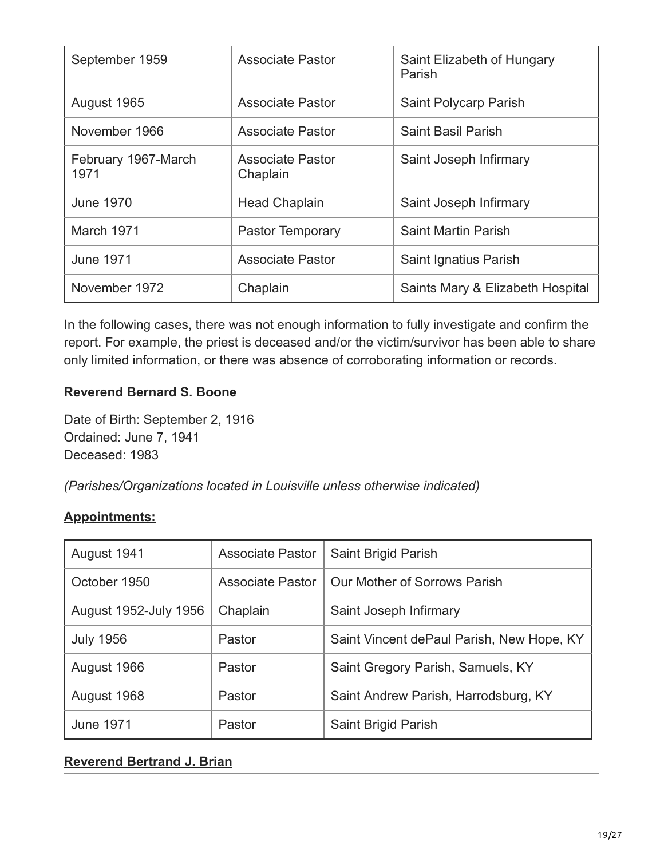| September 1959              | Associate Pastor                    | Saint Elizabeth of Hungary<br>Parish |
|-----------------------------|-------------------------------------|--------------------------------------|
| August 1965                 | Associate Pastor                    | Saint Polycarp Parish                |
| November 1966               | <b>Associate Pastor</b>             | <b>Saint Basil Parish</b>            |
| February 1967-March<br>1971 | <b>Associate Pastor</b><br>Chaplain | Saint Joseph Infirmary               |
| <b>June 1970</b>            | <b>Head Chaplain</b>                | Saint Joseph Infirmary               |
| March 1971                  | Pastor Temporary                    | <b>Saint Martin Parish</b>           |
| <b>June 1971</b>            | <b>Associate Pastor</b>             | Saint Ignatius Parish                |
| November 1972               | Chaplain                            | Saints Mary & Elizabeth Hospital     |

In the following cases, there was not enough information to fully investigate and confirm the report. For example, the priest is deceased and/or the victim/survivor has been able to share only limited information, or there was absence of corroborating information or records.

## **[Reverend Bernard S. Boone](#page-18-0)**

<span id="page-18-0"></span>Date of Birth: September 2, 1916 Ordained: June 7, 1941 Deceased: 1983

*(Parishes/Organizations located in Louisville unless otherwise indicated)*

#### **Appointments:**

| August 1941           | <b>Associate Pastor</b> | Saint Brigid Parish                       |
|-----------------------|-------------------------|-------------------------------------------|
| October 1950          | <b>Associate Pastor</b> | Our Mother of Sorrows Parish              |
| August 1952-July 1956 | Chaplain                | Saint Joseph Infirmary                    |
| <b>July 1956</b>      | Pastor                  | Saint Vincent dePaul Parish, New Hope, KY |
| August 1966           | Pastor                  | Saint Gregory Parish, Samuels, KY         |
| August 1968           | Pastor                  | Saint Andrew Parish, Harrodsburg, KY      |
| <b>June 1971</b>      | Pastor                  | Saint Brigid Parish                       |

## **[Reverend Bertrand J. Brian](#page-19-0)**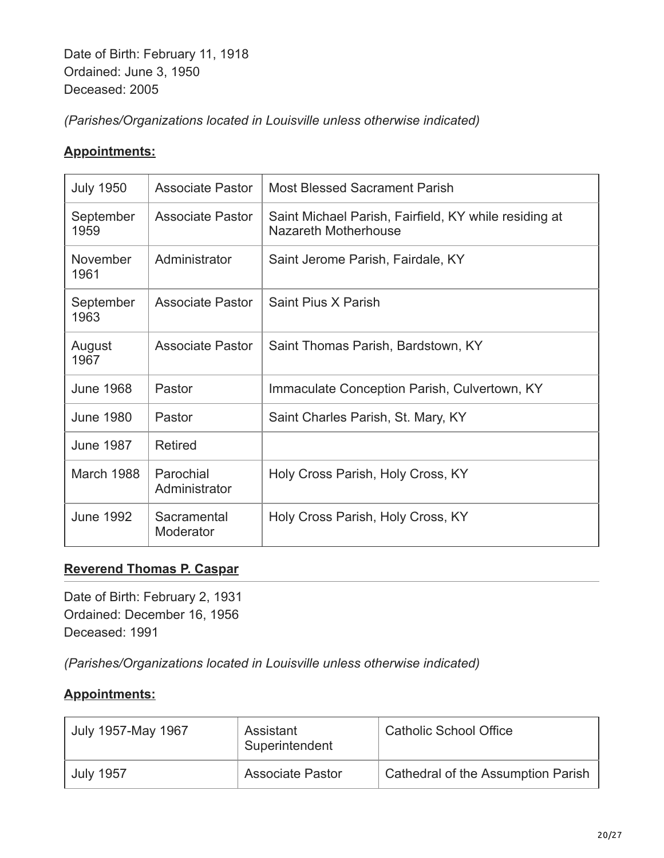<span id="page-19-0"></span>Date of Birth: February 11, 1918 Ordained: June 3, 1950 Deceased: 2005

*(Parishes/Organizations located in Louisville unless otherwise indicated)*

## **Appointments:**

| <b>July 1950</b>  | <b>Associate Pastor</b>    | <b>Most Blessed Sacrament Parish</b>                                          |
|-------------------|----------------------------|-------------------------------------------------------------------------------|
| September<br>1959 | Associate Pastor           | Saint Michael Parish, Fairfield, KY while residing at<br>Nazareth Motherhouse |
| November<br>1961  | Administrator              | Saint Jerome Parish, Fairdale, KY                                             |
| September<br>1963 | Associate Pastor           | Saint Pius X Parish                                                           |
| August<br>1967    | <b>Associate Pastor</b>    | Saint Thomas Parish, Bardstown, KY                                            |
| <b>June 1968</b>  | Pastor                     | Immaculate Conception Parish, Culvertown, KY                                  |
| <b>June 1980</b>  | Pastor                     | Saint Charles Parish, St. Mary, KY                                            |
| <b>June 1987</b>  | <b>Retired</b>             |                                                                               |
| March 1988        | Parochial<br>Administrator | Holy Cross Parish, Holy Cross, KY                                             |
| <b>June 1992</b>  | Sacramental<br>Moderator   | Holy Cross Parish, Holy Cross, KY                                             |

## **[Reverend Thomas P. Caspar](#page-19-1)**

<span id="page-19-1"></span>Date of Birth: February 2, 1931 Ordained: December 16, 1956 Deceased: 1991

*(Parishes/Organizations located in Louisville unless otherwise indicated)*

| July 1957-May 1967 | Assistant<br>Superintendent | Catholic School Office             |
|--------------------|-----------------------------|------------------------------------|
| <b>July 1957</b>   | <b>Associate Pastor</b>     | Cathedral of the Assumption Parish |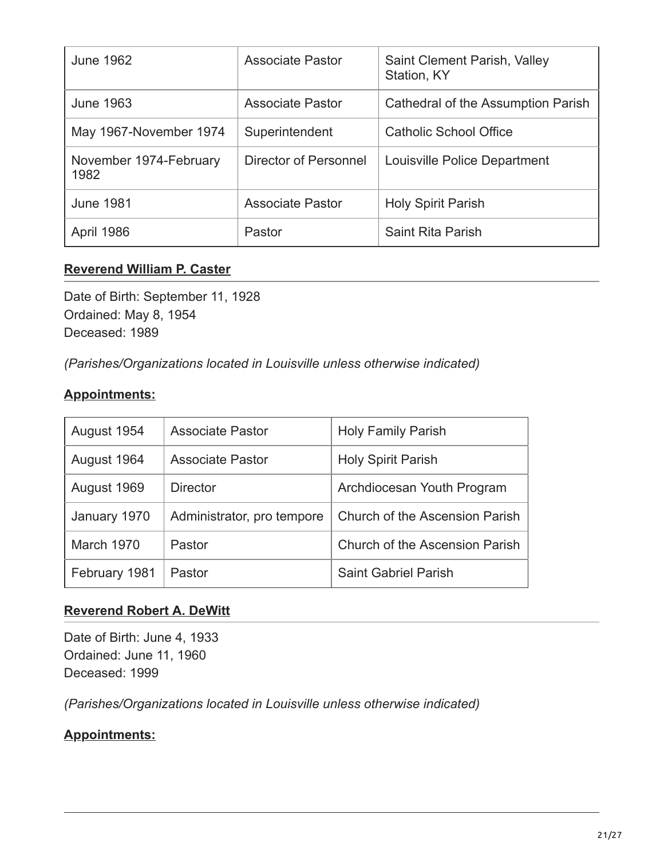| <b>June 1962</b>               | <b>Associate Pastor</b> | Saint Clement Parish, Valley<br>Station, KY |
|--------------------------------|-------------------------|---------------------------------------------|
| <b>June 1963</b>               | <b>Associate Pastor</b> | Cathedral of the Assumption Parish          |
| May 1967-November 1974         | Superintendent          | <b>Catholic School Office</b>               |
| November 1974-February<br>1982 | Director of Personnel   | Louisville Police Department                |
| <b>June 1981</b>               | <b>Associate Pastor</b> | <b>Holy Spirit Parish</b>                   |
| April 1986                     | Pastor                  | Saint Rita Parish                           |

#### **[Reverend William P. Caster](#page-20-0)**

<span id="page-20-0"></span>Date of Birth: September 11, 1928 Ordained: May 8, 1954 Deceased: 1989

*(Parishes/Organizations located in Louisville unless otherwise indicated)*

#### **Appointments:**

| August 1954   | <b>Associate Pastor</b>    | <b>Holy Family Parish</b>             |
|---------------|----------------------------|---------------------------------------|
| August 1964   | <b>Associate Pastor</b>    | <b>Holy Spirit Parish</b>             |
| August 1969   | <b>Director</b>            | Archdiocesan Youth Program            |
| January 1970  | Administrator, pro tempore | <b>Church of the Ascension Parish</b> |
| March 1970    | Pastor                     | <b>Church of the Ascension Parish</b> |
| February 1981 | Pastor                     | <b>Saint Gabriel Parish</b>           |

#### **[Reverend Robert A. DeWitt](#page-20-1)**

<span id="page-20-1"></span>Date of Birth: June 4, 1933 Ordained: June 11, 1960 Deceased: 1999

*(Parishes/Organizations located in Louisville unless otherwise indicated)*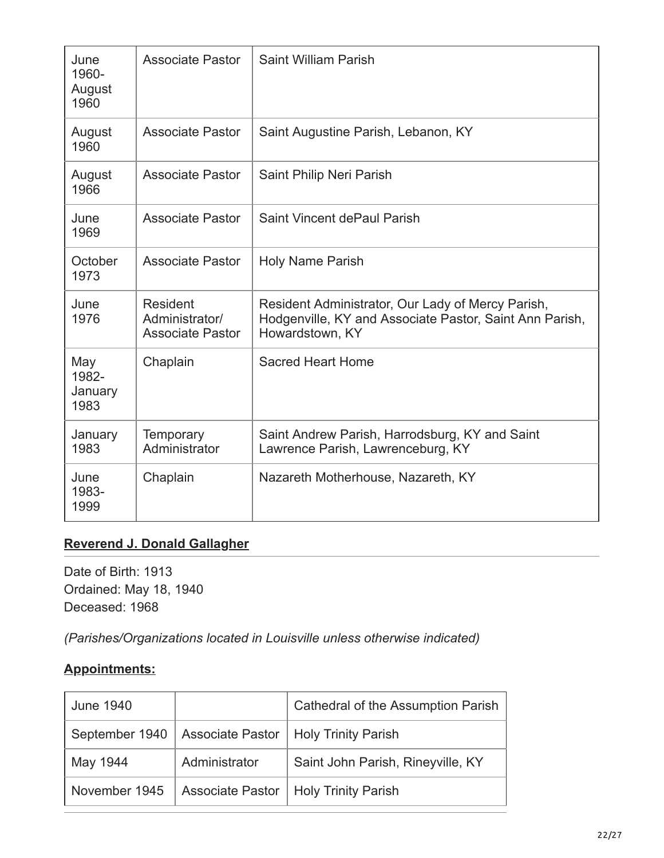| June<br>1960-<br>August<br>1960 | <b>Associate Pastor</b>                               | Saint William Parish                                                                                                            |
|---------------------------------|-------------------------------------------------------|---------------------------------------------------------------------------------------------------------------------------------|
| August<br>1960                  | <b>Associate Pastor</b>                               | Saint Augustine Parish, Lebanon, KY                                                                                             |
| August<br>1966                  | <b>Associate Pastor</b>                               | Saint Philip Neri Parish                                                                                                        |
| June<br>1969                    | <b>Associate Pastor</b>                               | Saint Vincent dePaul Parish                                                                                                     |
| October<br>1973                 | <b>Associate Pastor</b>                               | <b>Holy Name Parish</b>                                                                                                         |
| June<br>1976                    | Resident<br>Administrator/<br><b>Associate Pastor</b> | Resident Administrator, Our Lady of Mercy Parish,<br>Hodgenville, KY and Associate Pastor, Saint Ann Parish,<br>Howardstown, KY |
| May<br>1982-<br>January<br>1983 | Chaplain                                              | <b>Sacred Heart Home</b>                                                                                                        |
| January<br>1983                 | <b>Temporary</b><br>Administrator                     | Saint Andrew Parish, Harrodsburg, KY and Saint<br>Lawrence Parish, Lawrenceburg, KY                                             |
| June<br>1983-<br>1999           | Chaplain                                              | Nazareth Motherhouse, Nazareth, KY                                                                                              |

## **[Reverend J. Donald Gallagher](#page-21-0)**

<span id="page-21-0"></span>Date of Birth: 1913 Ordained: May 18, 1940 Deceased: 1968

*(Parishes/Organizations located in Louisville unless otherwise indicated)*

| <b>June 1940</b> |               | Cathedral of the Assumption Parish                      |
|------------------|---------------|---------------------------------------------------------|
|                  |               | September 1940   Associate Pastor   Holy Trinity Parish |
| May 1944         | Administrator | Saint John Parish, Rineyville, KY                       |
| November 1945    |               | Associate Pastor   Holy Trinity Parish                  |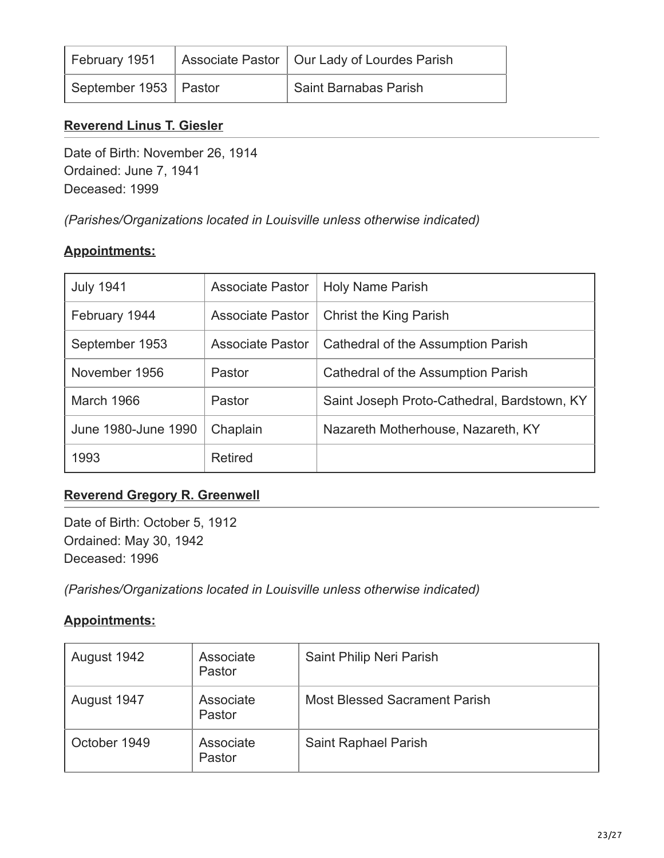| February 1951           | Associate Pastor   Our Lady of Lourdes Parish |
|-------------------------|-----------------------------------------------|
| September 1953   Pastor | Saint Barnabas Parish                         |

#### **[Reverend Linus T. Giesler](#page-22-0)**

<span id="page-22-0"></span>Date of Birth: November 26, 1914 Ordained: June 7, 1941 Deceased: 1999

*(Parishes/Organizations located in Louisville unless otherwise indicated)*

#### **Appointments:**

| <b>July 1941</b>    | <b>Associate Pastor</b> | <b>Holy Name Parish</b>                     |
|---------------------|-------------------------|---------------------------------------------|
| February 1944       | <b>Associate Pastor</b> | <b>Christ the King Parish</b>               |
| September 1953      | <b>Associate Pastor</b> | Cathedral of the Assumption Parish          |
| November 1956       | Pastor                  | Cathedral of the Assumption Parish          |
| March 1966          | Pastor                  | Saint Joseph Proto-Cathedral, Bardstown, KY |
| June 1980-June 1990 | Chaplain                | Nazareth Motherhouse, Nazareth, KY          |
| 1993                | <b>Retired</b>          |                                             |

#### **[Reverend Gregory R. Greenwell](#page-22-1)**

<span id="page-22-1"></span>Date of Birth: October 5, 1912 Ordained: May 30, 1942 Deceased: 1996

*(Parishes/Organizations located in Louisville unless otherwise indicated)*

| August 1942  | Associate<br>Pastor | Saint Philip Neri Parish             |
|--------------|---------------------|--------------------------------------|
| August 1947  | Associate<br>Pastor | <b>Most Blessed Sacrament Parish</b> |
| October 1949 | Associate<br>Pastor | Saint Raphael Parish                 |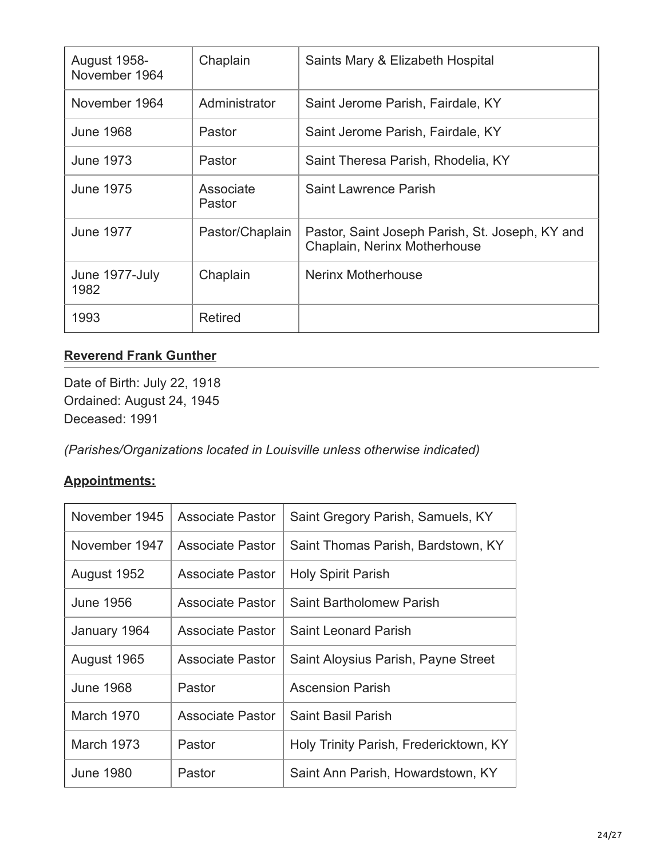| <b>August 1958-</b><br>November 1964 | Chaplain            | Saints Mary & Elizabeth Hospital                                                |
|--------------------------------------|---------------------|---------------------------------------------------------------------------------|
| November 1964                        | Administrator       | Saint Jerome Parish, Fairdale, KY                                               |
| <b>June 1968</b>                     | Pastor              | Saint Jerome Parish, Fairdale, KY                                               |
| June 1973                            | Pastor              | Saint Theresa Parish, Rhodelia, KY                                              |
| June 1975                            | Associate<br>Pastor | Saint Lawrence Parish                                                           |
| <b>June 1977</b>                     | Pastor/Chaplain     | Pastor, Saint Joseph Parish, St. Joseph, KY and<br>Chaplain, Nerinx Motherhouse |
| June 1977-July<br>1982               | Chaplain            | Nerinx Motherhouse                                                              |
| 1993                                 | <b>Retired</b>      |                                                                                 |

# **[Reverend Frank Gunther](#page-23-0)**

<span id="page-23-0"></span>Date of Birth: July 22, 1918 Ordained: August 24, 1945 Deceased: 1991

*(Parishes/Organizations located in Louisville unless otherwise indicated)*

| November 1945     | Associate Pastor        | Saint Gregory Parish, Samuels, KY      |
|-------------------|-------------------------|----------------------------------------|
| November 1947     | <b>Associate Pastor</b> | Saint Thomas Parish, Bardstown, KY     |
| August 1952       | <b>Associate Pastor</b> | <b>Holy Spirit Parish</b>              |
| <b>June 1956</b>  | <b>Associate Pastor</b> | Saint Bartholomew Parish               |
| January 1964      | Associate Pastor        | <b>Saint Leonard Parish</b>            |
| August 1965       | Associate Pastor        | Saint Aloysius Parish, Payne Street    |
| <b>June 1968</b>  | Pastor                  | <b>Ascension Parish</b>                |
| March 1970        | Associate Pastor        | <b>Saint Basil Parish</b>              |
| <b>March 1973</b> | Pastor                  | Holy Trinity Parish, Fredericktown, KY |
| June 1980         | Pastor                  | Saint Ann Parish, Howardstown, KY      |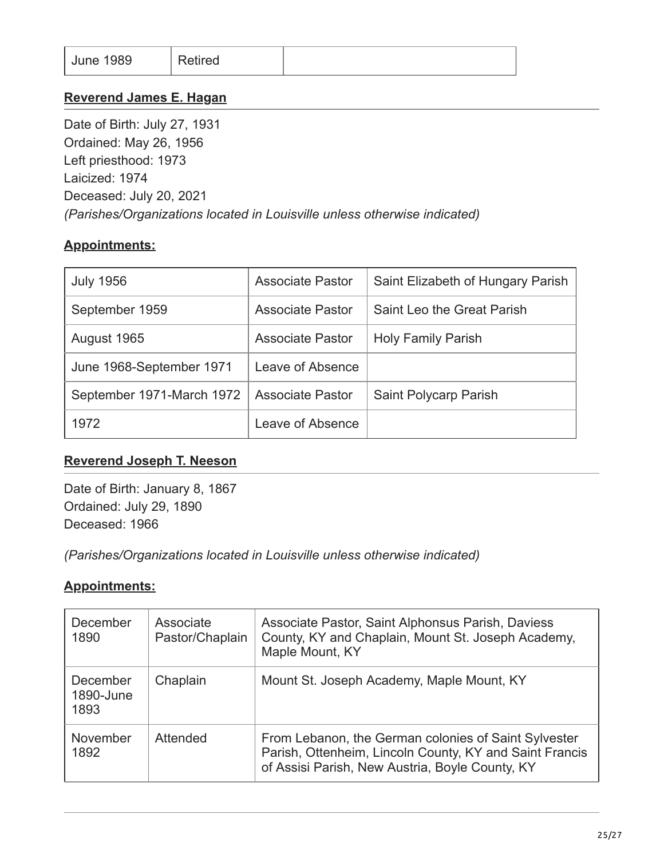|--|

#### **[Reverend James E. Hagan](#page-24-0)**

<span id="page-24-0"></span>Date of Birth: July 27, 1931 Ordained: May 26, 1956 Left priesthood: 1973 Laicized: 1974 Deceased: July 20, 2021 *(Parishes/Organizations located in Louisville unless otherwise indicated)*

## **Appointments:**

| <b>July 1956</b>          | <b>Associate Pastor</b> | Saint Elizabeth of Hungary Parish |
|---------------------------|-------------------------|-----------------------------------|
| September 1959            | <b>Associate Pastor</b> | Saint Leo the Great Parish        |
| August 1965               | <b>Associate Pastor</b> | <b>Holy Family Parish</b>         |
| June 1968-September 1971  | Leave of Absence        |                                   |
| September 1971-March 1972 | <b>Associate Pastor</b> | Saint Polycarp Parish             |
| 1972                      | Leave of Absence        |                                   |

#### **[Reverend Joseph T. Neeson](#page-24-1)**

<span id="page-24-1"></span>Date of Birth: January 8, 1867 Ordained: July 29, 1890 Deceased: 1966

*(Parishes/Organizations located in Louisville unless otherwise indicated)*

| December<br>1890              | Associate<br>Pastor/Chaplain | Associate Pastor, Saint Alphonsus Parish, Daviess<br>County, KY and Chaplain, Mount St. Joseph Academy,<br>Maple Mount, KY                                         |
|-------------------------------|------------------------------|--------------------------------------------------------------------------------------------------------------------------------------------------------------------|
| December<br>1890-June<br>1893 | Chaplain                     | Mount St. Joseph Academy, Maple Mount, KY                                                                                                                          |
| November<br>1892              | Attended                     | From Lebanon, the German colonies of Saint Sylvester<br>Parish, Ottenheim, Lincoln County, KY and Saint Francis<br>of Assisi Parish, New Austria, Boyle County, KY |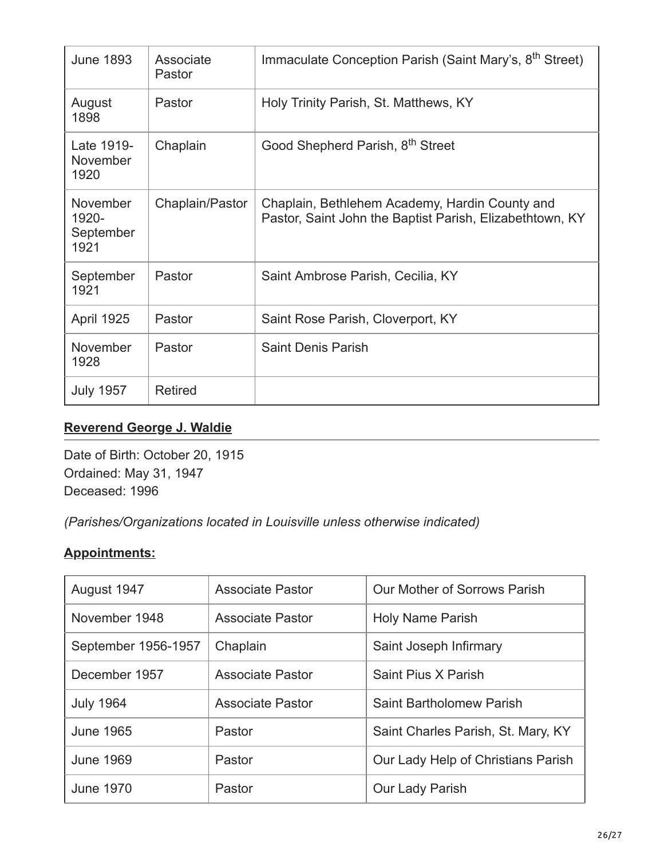| <b>June 1893</b>                              | Associate<br>Pastor | Immaculate Conception Parish (Saint Mary's, 8 <sup>th</sup> Street)                                        |
|-----------------------------------------------|---------------------|------------------------------------------------------------------------------------------------------------|
| August<br>1898                                | Pastor              | Holy Trinity Parish, St. Matthews, KY                                                                      |
| Late 1919-<br><b>November</b><br>1920         | Chaplain            | Good Shepherd Parish, 8 <sup>th</sup> Street                                                               |
| <b>November</b><br>1920-<br>September<br>1921 | Chaplain/Pastor     | Chaplain, Bethlehem Academy, Hardin County and<br>Pastor, Saint John the Baptist Parish, Elizabethtown, KY |
| September<br>1921                             | Pastor              | Saint Ambrose Parish, Cecilia, KY                                                                          |
| <b>April 1925</b>                             | Pastor              | Saint Rose Parish, Cloverport, KY                                                                          |
| November<br>1928                              | Pastor              | <b>Saint Denis Parish</b>                                                                                  |
| <b>July 1957</b>                              | <b>Retired</b>      |                                                                                                            |

## **[Reverend George J. Waldie](#page-25-0)**

<span id="page-25-0"></span>Date of Birth: October 20, 1915 Ordained: May 31, 1947 Deceased: 1996

*(Parishes/Organizations located in Louisville unless otherwise indicated)*

| August 1947         | <b>Associate Pastor</b> | Our Mother of Sorrows Parish       |
|---------------------|-------------------------|------------------------------------|
| November 1948       | <b>Associate Pastor</b> | <b>Holy Name Parish</b>            |
| September 1956-1957 | Chaplain                | Saint Joseph Infirmary             |
| December 1957       | <b>Associate Pastor</b> | Saint Pius X Parish                |
| <b>July 1964</b>    | <b>Associate Pastor</b> | <b>Saint Bartholomew Parish</b>    |
| <b>June 1965</b>    | Pastor                  | Saint Charles Parish, St. Mary, KY |
| <b>June 1969</b>    | Pastor                  | Our Lady Help of Christians Parish |
| <b>June 1970</b>    | Pastor                  | Our Lady Parish                    |